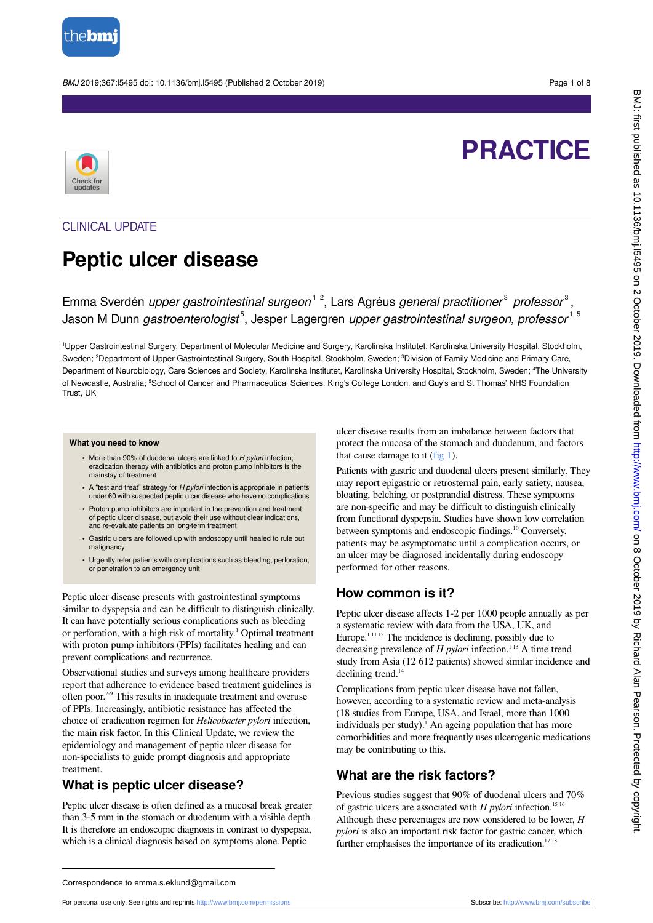

BMJ 2019;367:l5495 doi: 10.1136/bmj.l5495 (Published 2 October 2019) Page 1 of 8

# **PRACTICE**



## CLINICAL UPDATE

## **Peptic ulcer disease**

Emma Sverdén *upper gastrointestinal surgeon*<sup>12</sup>, Lars Agréus *general practitioner<sup>3</sup> professor*<sup>3</sup>, Jason M Dunn gastroenterologist<sup>5</sup>, Jesper Lagergren upper gastrointestinal surgeon, professor<sup>15</sup>

<sup>1</sup>Upper Gastrointestinal Surgery, Department of Molecular Medicine and Surgery, Karolinska Institutet, Karolinska University Hospital, Stockholm, Sweden; <sup>2</sup>Department of Upper Gastrointestinal Surgery, South Hospital, Stockholm, Sweden; <sup>3</sup>Division of Family Medicine and Primary Care, Department of Neurobiology, Care Sciences and Society, Karolinska Institutet, Karolinska University Hospital, Stockholm, Sweden; <sup>4</sup>The University of Newcastle, Australia; <sup>5</sup>School of Cancer and Pharmaceutical Sciences, King's College London, and Guy's and St Thomas' NHS Foundation Trust, UK

#### **What you need to know**

- More than 90% of duodenal ulcers are linked to *H pylori* infection; eradication therapy with antibiotics and proton pump inhibitors is the mainstay of treatment
- **•** A "test and treat" strategy for H pylori infection is appropriate in patients under 60 with suspected peptic ulcer disease who have no complications
- **•** Proton pump inhibitors are important in the prevention and treatment of peptic ulcer disease, but avoid their use without clear indications, and re-evaluate patients on long-term treatment
- **•** Gastric ulcers are followed up with endoscopy until healed to rule out malignancy
- **•** Urgently refer patients with complications such as bleeding, perforation, or penetration to an emergency unit

Peptic ulcer disease presents with gastrointestinal symptoms similar to dyspepsia and can be difficult to distinguish clinically. It can have potentially serious complications such as bleeding or perforation, with a high risk of mortality.<sup>1</sup> Optimal treatment with proton pump inhibitors (PPIs) facilitates healing and can prevent complications and recurrence.

Observational studies and surveys among healthcare providers report that adherence to evidence based treatment guidelines is often poor.2-9 This results in inadequate treatment and overuse of PPIs. Increasingly, antibiotic resistance has affected the choice of eradication regimen for *Helicobacter pylori* infection, the main risk factor. In this Clinical Update, we review the epidemiology and management of peptic ulcer disease for non-specialists to guide prompt diagnosis and appropriate treatment.

#### **What is peptic ulcer disease?**

Peptic ulcer disease is often defined as a mucosal break greater than 3-5 mm in the stomach or duodenum with a visible depth. It is therefore an endoscopic diagnosis in contrast to dyspepsia, which is a clinical diagnosis based on symptoms alone. Peptic

ulcer disease results from an imbalance between factors that protect the mucosa of the stomach and duodenum, and factors that cause damage to it ( $f$ ig 1).

Patients with gastric and duodenal ulcers present similarly. They may report epigastric or retrosternal pain, early satiety, nausea, bloating, belching, or postprandial distress. These symptoms are non-specific and may be difficult to distinguish clinically from functional dyspepsia. Studies have shown low correlation between symptoms and endoscopic findings.<sup>10</sup> Conversely, patients may be asymptomatic until a complication occurs, or an ulcer may be diagnosed incidentally during endoscopy performed for other reasons.

## **How common is it?**

Peptic ulcer disease affects 1-2 per 1000 people annually as per a systematic review with data from the USA, UK, and Europe.<sup>11112</sup> The incidence is declining, possibly due to decreasing prevalence of  $H$  *pylori* infection.<sup>113</sup> A time trend study from Asia (12 612 patients) showed similar incidence and declining trend.<sup>14</sup>

Complications from peptic ulcer disease have not fallen, however, according to a systematic review and meta-analysis (18 studies from Europe, USA, and Israel, more than 1000 individuals per study).<sup>1</sup> An ageing population that has more comorbidities and more frequently uses ulcerogenic medications may be contributing to this.

## **What are the risk factors?**

Previous studies suggest that 90% of duodenal ulcers and 70% of gastric ulcers are associated with *H pylori* infection.<sup>15 16</sup> Although these percentages are now considered to be lower, *H pylori* is also an important risk factor for gastric cancer, which further emphasises the importance of its eradication.<sup>171</sup>

Correspondence to emma.s.eklund@gmail.com

For personal use only: See rights and reprints<http://www.bmj.com/permissions> Subscribe: <http://www.bmj.com/subscribe>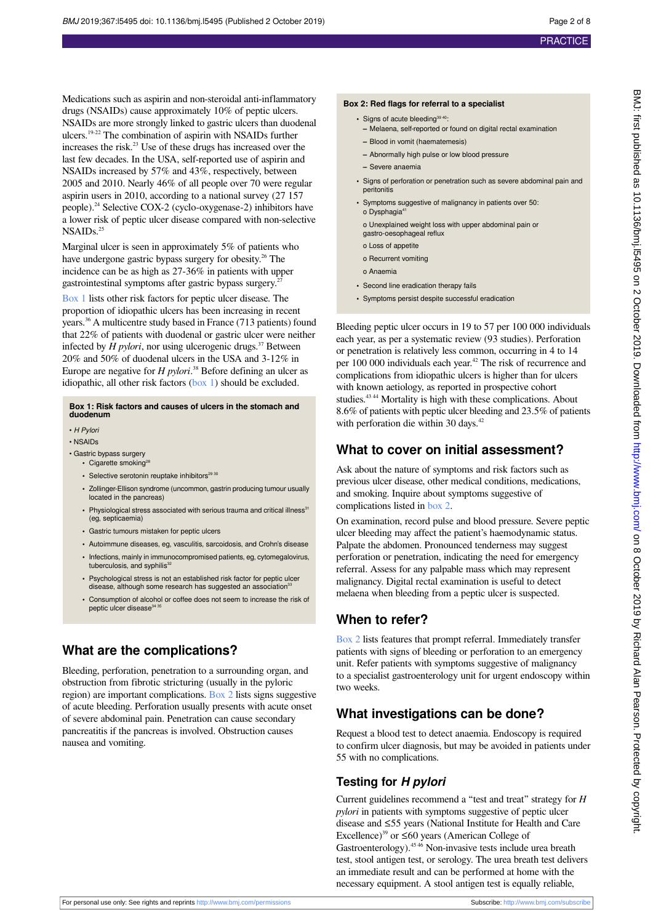BMJ: first published as 10.1136/bmj.I5495 on 2 October 2019. Downloaded from http://www.bmj.com/ on 8 October 2019 by Richard Alan Pearson. Protected by copyright

BMJ: first published as 10.1136/bmj.15495 on 2 October 2019. Downloaded from <http://www.bmj.com/> on 8 October 2019 by Richard Alan Pearson. Protected by copyright.

Medications such as aspirin and non-steroidal anti-inflammatory drugs (NSAIDs) cause approximately 10% of peptic ulcers. NSAIDs are more strongly linked to gastric ulcers than duodenal ulcers.19-22 The combination of aspirin with NSAIDs further increases the risk.<sup>23</sup> Use of these drugs has increased over the last few decades. In the USA, self-reported use of aspirin and NSAIDs increased by 57% and 43%, respectively, between 2005 and 2010. Nearly 46% of all people over 70 were regular aspirin users in 2010, according to a national survey (27 157 people).<sup>24</sup> Selective COX-2 (cyclo-oxygenase-2) inhibitors have a lower risk of peptic ulcer disease compared with non-selective NSAID<sub>s.25</sub>

Marginal ulcer is seen in approximately 5% of patients who have undergone gastric bypass surgery for obesity.<sup>26</sup> The incidence can be as high as 27-36% in patients with upper gastrointestinal symptoms after gastric bypass surgery.<sup>2</sup>

[Box 1](#page-1-0) lists other risk factors for peptic ulcer disease. The proportion of idiopathic ulcers has been increasing in recent years.<sup>36</sup> A multicentre study based in France (713 patients) found that 22% of patients with duodenal or gastric ulcer were neither infected by  $H$  *pylori*, nor using ulcerogenic drugs.<sup>37</sup> Between 20% and 50% of duodenal ulcers in the USA and 3-12% in Europe are negative for *H pylori*. <sup>38</sup> Before defining an ulcer as idiopathic, all other risk factors [\(box 1\)](#page-1-0) should be excluded.

#### <span id="page-1-0"></span>**Box 1: Risk factors and causes of ulcers in the stomach and duodenum**

• H Pylori

#### • NSAIDs

- Gastric bypass surgery
	- Cigarette smoking<sup>28</sup>
	- Selective serotonin reuptake inhibitors<sup>29 30</sup>
	- **•** Zollinger-Ellison syndrome (uncommon, gastrin producing tumour usually located in the pancreas)
	- Physiological stress associated with serious trauma and critical illness<sup>31</sup> (eg, septicaemia)
	- **•** Gastric tumours mistaken for peptic ulcers
	- **•** Autoimmune diseases, eg, vasculitis, sarcoidosis, and Crohn's disease
	- **•** Infections, mainly in immunocompromised patients, eg, cytomegalovirus, tuberculosis, and syphilis<sup>3</sup>
	- **•** Psychological stress is not an established risk factor for peptic ulcer disease, although some research has suggested an association<sup>5</sup>
	- **•** Consumption of alcohol or coffee does not seem to increase the risk of peptic ulcer disease<sup>3</sup>

## **What are the complications?**

Bleeding, perforation, penetration to a surrounding organ, and obstruction from fibrotic stricturing (usually in the pyloric region) are important complications. [Box 2](#page-1-1) lists signs suggestive of acute bleeding. Perforation usually presents with acute onset of severe abdominal pain. Penetration can cause secondary pancreatitis if the pancreas is involved. Obstruction causes nausea and vomiting.

#### <span id="page-1-1"></span>**Box 2: Red flags for referral to a specialist**

- Signs of acute bleeding<sup>39 40</sup>:
	- **–** Melaena, self-reported or found on digital rectal examination
- **–** Blood in vomit (haematemesis)
- **–** Abnormally high pulse or low blood pressure
- **–** Severe anaemia
- **•** Signs of perforation or penetration such as severe abdominal pain and peritonitis
- **•** Symptoms suggestive of malignancy in patients over 50: o Dysphagia<sup>4</sup>
	- o Unexplained weight loss with upper abdominal pain or gastro-oesophageal reflux
	- o Loss of appetite
- o Recurrent vomiting
- o Anaemia
- **•** Second line eradication therapy fails
- **•** Symptoms persist despite successful eradication

Bleeding peptic ulcer occurs in 19 to 57 per 100 000 individuals each year, as per a systematic review (93 studies). Perforation or penetration is relatively less common, occurring in 4 to 14 per 100 000 individuals each year.<sup>42</sup> The risk of recurrence and complications from idiopathic ulcers is higher than for ulcers with known aetiology, as reported in prospective cohort studies.<sup>4344</sup> Mortality is high with these complications. About 8.6% of patients with peptic ulcer bleeding and 23.5% of patients with perforation die within 30 days.<sup>42</sup>

#### **What to cover on initial assessment?**

Ask about the nature of symptoms and risk factors such as previous ulcer disease, other medical conditions, medications, and smoking. Inquire about symptoms suggestive of complications listed in [box 2.](#page-1-1)

On examination, record pulse and blood pressure. Severe peptic ulcer bleeding may affect the patient's haemodynamic status. Palpate the abdomen. Pronounced tenderness may suggest perforation or penetration, indicating the need for emergency referral. Assess for any palpable mass which may represent malignancy. Digital rectal examination is useful to detect melaena when bleeding from a peptic ulcer is suspected.

## **When to refer?**

[Box 2](#page-1-1) lists features that prompt referral. Immediately transfer patients with signs of bleeding or perforation to an emergency unit. Refer patients with symptoms suggestive of malignancy to a specialist gastroenterology unit for urgent endoscopy within two weeks.

## **What investigations can be done?**

Request a blood test to detect anaemia. Endoscopy is required to confirm ulcer diagnosis, but may be avoided in patients under 55 with no complications.

#### **Testing for** *H pylori*

Current guidelines recommend a "test and treat" strategy for *H pylori* in patients with symptoms suggestive of peptic ulcer disease and ≤55 years (National Institute for Health and Care Excellence)<sup>39</sup> or  $\leq 60$  years (American College of Gastroenterology).<sup>45 46</sup> Non-invasive tests include urea breath test, stool antigen test, or serology. The urea breath test delivers an immediate result and can be performed at home with the necessary equipment. A stool antigen test is equally reliable,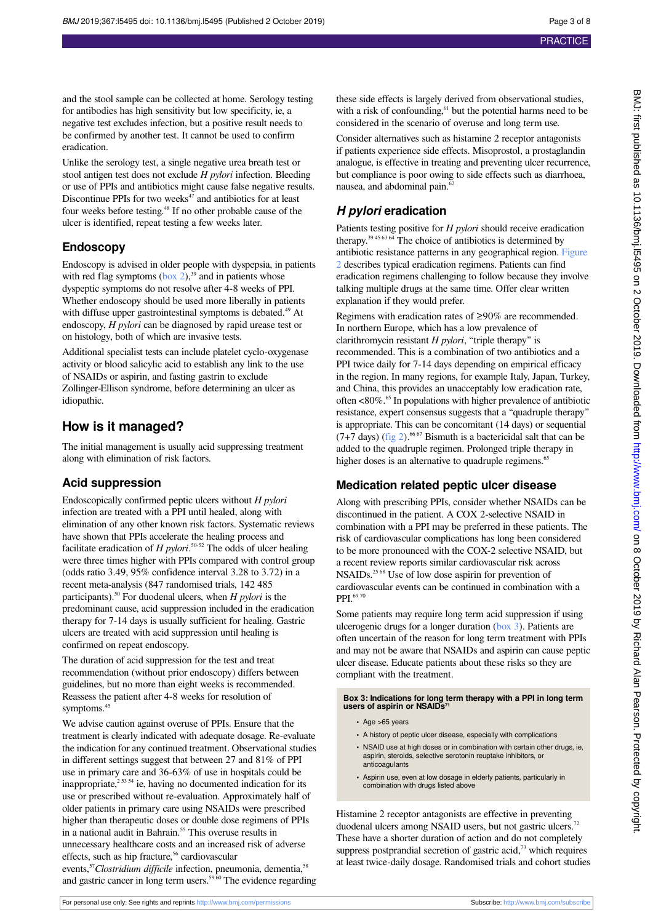BMJ: first published as 10.1136/bmj.I5495 on 2 October 2019. Downloaded from http://www.bmj.com/ on 8 October 2019 by Richard Alan Pearson. Protected by copyright BMJ: first published as 10.1136/bmj.15495 on 2 October 2019. Downloaded from <http://www.bmj.com/> on 8 October 2019 by Richard Alan Pearson. Protected by copyright.

and the stool sample can be collected at home. Serology testing for antibodies has high sensitivity but low specificity, ie, a negative test excludes infection, but a positive result needs to be confirmed by another test. It cannot be used to confirm eradication.

Unlike the serology test, a single negative urea breath test or stool antigen test does not exclude *H pylori* infection. Bleeding or use of PPIs and antibiotics might cause false negative results. Discontinue PPIs for two weeks $47$  and antibiotics for at least four weeks before testing.<sup>48</sup> If no other probable cause of the ulcer is identified, repeat testing a few weeks later.

#### **Endoscopy**

Endoscopy is advised in older people with dyspepsia, in patients with red flag symptoms  $(box 2)$ ,<sup>39</sup> and in patients whose dyspeptic symptoms do not resolve after 4-8 weeks of PPI. Whether endoscopy should be used more liberally in patients with diffuse upper gastrointestinal symptoms is debated.<sup>49</sup> At endoscopy, *H pylori* can be diagnosed by rapid urease test or on histology, both of which are invasive tests.

Additional specialist tests can include platelet cyclo-oxygenase activity or blood salicylic acid to establish any link to the use of NSAIDs or aspirin, and fasting gastrin to exclude Zollinger-Ellison syndrome, before determining an ulcer as idiopathic.

## **How is it managed?**

The initial management is usually acid suppressing treatment along with elimination of risk factors.

#### **Acid suppression**

Endoscopically confirmed peptic ulcers without *H pylori* infection are treated with a PPI until healed, along with elimination of any other known risk factors. Systematic reviews have shown that PPIs accelerate the healing process and facilitate eradication of *H pylori*. 50-52 The odds of ulcer healing were three times higher with PPIs compared with control group (odds ratio 3.49, 95% confidence interval 3.28 to 3.72) in a recent meta-analysis (847 randomised trials, 142 485 participants).<sup>50</sup> For duodenal ulcers, when *H pylori* is the predominant cause, acid suppression included in the eradication therapy for 7-14 days is usually sufficient for healing. Gastric ulcers are treated with acid suppression until healing is confirmed on repeat endoscopy.

The duration of acid suppression for the test and treat recommendation (without prior endoscopy) differs between guidelines, but no more than eight weeks is recommended. Reassess the patient after 4-8 weeks for resolution of symptoms.<sup>4</sup>

We advise caution against overuse of PPIs. Ensure that the treatment is clearly indicated with adequate dosage. Re-evaluate the indication for any continued treatment. Observational studies in different settings suggest that between 27 and 81% of PPI use in primary care and 36-63% of use in hospitals could be inappropriate, $2^{5354}$  ie, having no documented indication for its use or prescribed without re-evaluation. Approximately half of older patients in primary care using NSAIDs were prescribed higher than therapeutic doses or double dose regimens of PPIs in a national audit in Bahrain.<sup>55</sup> This overuse results in unnecessary healthcare costs and an increased risk of adverse effects, such as hip fracture,<sup>56</sup> cardiovascular events,<sup>57</sup>Clostridium difficile infection, pneumonia, dementia,<sup>58</sup> and gastric cancer in long term users.<sup>5960</sup> The evidence regarding

these side effects is largely derived from observational studies, with a risk of confounding,<sup>61</sup> but the potential harms need to be considered in the scenario of overuse and long term use.

Consider alternatives such as histamine 2 receptor antagonists if patients experience side effects. Misoprostol, a prostaglandin analogue, is effective in treating and preventing ulcer recurrence, but compliance is poor owing to side effects such as diarrhoea, nausea, and abdominal pain.<sup>62</sup>

## *H pylori* **eradication**

Patients testing positive for *H pylori* should receive eradication therapy.<sup>39 45 63 64</sup> The choice of antibiotics is determined by antibiotic resistance patterns in any geographical region. [Figure](#page-7-0) [2](#page-7-0) describes typical eradication regimens. Patients can find eradication regimens challenging to follow because they involve talking multiple drugs at the same time. Offer clear written explanation if they would prefer.

Regimens with eradication rates of ≥90% are recommended. In northern Europe, which has a low prevalence of clarithromycin resistant *H pylori*, "triple therapy" is recommended. This is a combination of two antibiotics and a PPI twice daily for 7-14 days depending on empirical efficacy in the region. In many regions, for example Italy, Japan, Turkey, and China, this provides an unacceptably low eradication rate, often <80%.<sup>65</sup> In populations with higher prevalence of antibiotic resistance, expert consensus suggests that a "quadruple therapy" is appropriate. This can be concomitant (14 days) or sequential  $(7+7)$  days) [\(fig 2](#page-7-0)).<sup>66 67</sup> Bismuth is a bactericidal salt that can be added to the quadruple regimen. Prolonged triple therapy in higher doses is an alternative to quadruple regimens.<sup>65</sup>

## **Medication related peptic ulcer disease**

Along with prescribing PPIs, consider whether NSAIDs can be discontinued in the patient. A COX 2-selective NSAID in combination with a PPI may be preferred in these patients. The risk of cardiovascular complications has long been considered to be more pronounced with the COX-2 selective NSAID, but a recent review reports similar cardiovascular risk across NSAIDs.25 68 Use of low dose aspirin for prevention of cardiovascular events can be continued in combination with a PPI<sup>6970</sup>

<span id="page-2-0"></span>Some patients may require long term acid suppression if using ulcerogenic drugs for a longer duration ([box 3](#page-2-0)). Patients are often uncertain of the reason for long term treatment with PPIs and may not be aware that NSAIDs and aspirin can cause peptic ulcer disease. Educate patients about these risks so they are compliant with the treatment.

**Box 3: Indications for long term therapy with a PPI in long term users of aspirin or NSAIDs<sup>71</sup>**

- **•** Age >65 years
- **•** A history of peptic ulcer disease, especially with complications
- **•** NSAID use at high doses or in combination with certain other drugs, ie, aspirin, steroids, selective serotonin reuptake inhibitors, or anticoagulants
- **•** Aspirin use, even at low dosage in elderly patients, particularly in combination with drugs listed above

Histamine 2 receptor antagonists are effective in preventing duodenal ulcers among NSAID users, but not gastric ulcers.<sup>72</sup> These have a shorter duration of action and do not completely suppress postprandial secretion of gastric acid,<sup>73</sup> which requires at least twice-daily dosage. Randomised trials and cohort studies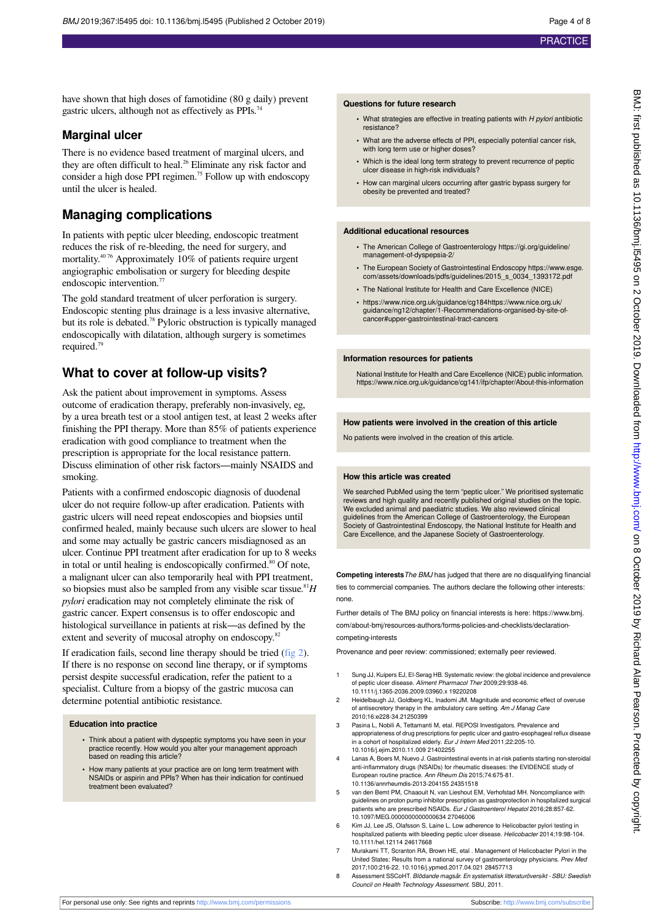have shown that high doses of famotidine (80 g daily) prevent gastric ulcers, although not as effectively as PPIs.<sup>74</sup>

#### **Marginal ulcer**

There is no evidence based treatment of marginal ulcers, and they are often difficult to heal.<sup>26</sup> Eliminate any risk factor and consider a high dose PPI regimen.<sup>75</sup> Follow up with endoscopy until the ulcer is healed.

## **Managing complications**

In patients with peptic ulcer bleeding, endoscopic treatment reduces the risk of re-bleeding, the need for surgery, and mortality.40 76 Approximately 10% of patients require urgent angiographic embolisation or surgery for bleeding despite endoscopic intervention.<sup>77</sup>

The gold standard treatment of ulcer perforation is surgery. Endoscopic stenting plus drainage is a less invasive alternative, but its role is debated.<sup>78</sup> Pyloric obstruction is typically managed endoscopically with dilatation, although surgery is sometimes required.<sup>79</sup>

## **What to cover at follow-up visits?**

Ask the patient about improvement in symptoms. Assess outcome of eradication therapy, preferably non-invasively, eg, by a urea breath test or a stool antigen test, at least 2 weeks after finishing the PPI therapy. More than 85% of patients experience eradication with good compliance to treatment when the prescription is appropriate for the local resistance pattern. Discuss elimination of other risk factors—mainly NSAIDS and smoking.

Patients with a confirmed endoscopic diagnosis of duodenal ulcer do not require follow-up after eradication. Patients with gastric ulcers will need repeat endoscopies and biopsies until confirmed healed, mainly because such ulcers are slower to heal and some may actually be gastric cancers misdiagnosed as an ulcer. Continue PPI treatment after eradication for up to 8 weeks in total or until healing is endoscopically confirmed.<sup>80</sup> Of note, a malignant ulcer can also temporarily heal with PPI treatment, so biopsies must also be sampled from any visible scar tissue.<sup>81</sup> $H$ *pylori* eradication may not completely eliminate the risk of gastric cancer. Expert consensus is to offer endoscopic and histological surveillance in patients at risk—as defined by the extent and severity of mucosal atrophy on endoscopy.<sup>82</sup>

If eradication fails, second line therapy should be tried ([fig 2\)](#page-7-0). If there is no response on second line therapy, or if symptoms persist despite successful eradication, refer the patient to a specialist. Culture from a biopsy of the gastric mucosa can determine potential antibiotic resistance.

#### **Education into practice**

- **•** Think about a patient with dyspeptic symptoms you have seen in your practice recently. How would you alter your management approach based on reading this article?
- **•** How many patients at your practice are on long term treatment with NSAIDs or aspirin and PPIs? When has their indication for continued treatment been evaluated?

#### **Questions for future research**

- What strategies are effective in treating patients with H pylori antibiotic resistance?
- **•** What are the adverse effects of PPI, especially potential cancer risk, with long term use or higher doses'
- **•** Which is the ideal long term strategy to prevent recurrence of peptic ulcer disease in high-risk individuals?
- **•** How can marginal ulcers occurring after gastric bypass surgery for obesity be prevented and treated?

#### **Additional educational resources**

- **•** The American College of Gastroenterology https://gi.org/guideline/ management-of-dyspepsia-2/
- **•** The European Society of Gastrointestinal Endoscopy https://www.esge. com/assets/downloads/pdfs/guidelines/2015\_s\_0034\_1393172.pdf
- **•** The National Institute for Health and Care Excellence (NICE)
- **•** https://www.nice.org.uk/guidance/cg184https://www.nice.org.uk/ guidance/ng12/chapter/1-Recommendations-organised-by-site-ofcancer#upper-gastrointestinal-tract-cancers

#### **Information resources for patients**

National Institute for Health and Care Excellence (NICE) public information. https://www.nice.org.uk/guidance/cg141/ifp/chapter/About-this-information

#### **How patients were involved in the creation of this article**

No patients were involved in the creation of this article.

#### **How this article was created**

We searched PubMed using the term "peptic ulcer." We prioritised systematic reviews and high quality and recently published original studies on the topic. We excluded animal and paediatric studies. We also reviewed clinical guidelines from the American College of Gastroenterology, the European Society of Gastrointestinal Endoscopy, the National Institute for Health and Care Excellence, and the Japanese Society of Gastroenterology.

**Competing interests**The BMJ has judged that there are no disqualifying financial ties to commercial companies. The authors declare the following other interests: none.

Further details of The BMJ policy on financial interests is here: https://www.bmi. com/about-bmj/resources-authors/forms-policies-and-checklists/declarationcompeting-interests

Provenance and peer review: commissioned; externally peer reviewed.

- Sung JJ, Kuipers EJ, El-Serag HB. Systematic review: the global incidence and prevalence of peptic ulcer disease. Aliment Pharmacol Ther 2009;29:938-46. 10.1111/j.1365-2036.2009.03960.x 19220208
- 2 Heidelbaugh JJ, Goldberg KL, Inadomi JM. Magnitude and economic effect of overuse of antisecretory therapy in the ambulatory care setting. Am J Manag Care 2010;16:e228-34.21250399
- 3 Pasina L, Nobili A, Tettamanti M, etal. REPOSI Investigators. Prevalence and appropriateness of drug prescriptions for peptic ulcer and gastro-esophageal reflux disease in a cohort of hospitalized elderly. Eur J Intern Med 2011;22:205-10. 10.1016/j.ejim.2010.11.009 21402255
- 4 Lanas A, Boers M, Nuevo J. Gastrointestinal events in at-risk patients starting non-steroidal anti-inflammatory drugs (NSAIDs) for rheumatic diseases: the EVIDENCE study of European routine practice. Ann Rheum Dis 2015;74:675-81. 10.1136/annrheumdis-2013-204155 24351518
- 5 van den Bemt PM, Chaaouit N, van Lieshout EM, Verhofstad MH. Noncompliance with guidelines on proton pump inhibitor prescription as gastroprotection in hospitalized surgical patients who are prescribed NSAIDs. Eur J Gastroenterol Hepatol 2016;28:857-62. 10.1097/MEG.0000000000000634 27046006
- 6 Kim JJ, Lee JS, Olafsson S, Laine L. Low adherence to Helicobacter pylori testing in hospitalized patients with bleeding peptic ulcer disease. Helicobacter 2014;19:98-104. 10.1111/hel.12114 24617668
- 7 Murakami TT, Scranton RA, Brown HE, etal . Management of Helicobacter Pylori in the<br>United States: Results from a national survey of gastroenterology physicians. Prev Med 2017;100:216-22. 10.1016/j.ypmed.2017.04.021 28457713
- 8 Assessment SSCoHT. Blödande magsår. En systematisk litteraturöversikt SBU: Swedish Council on Health Technology Assessment. SBU, 2011.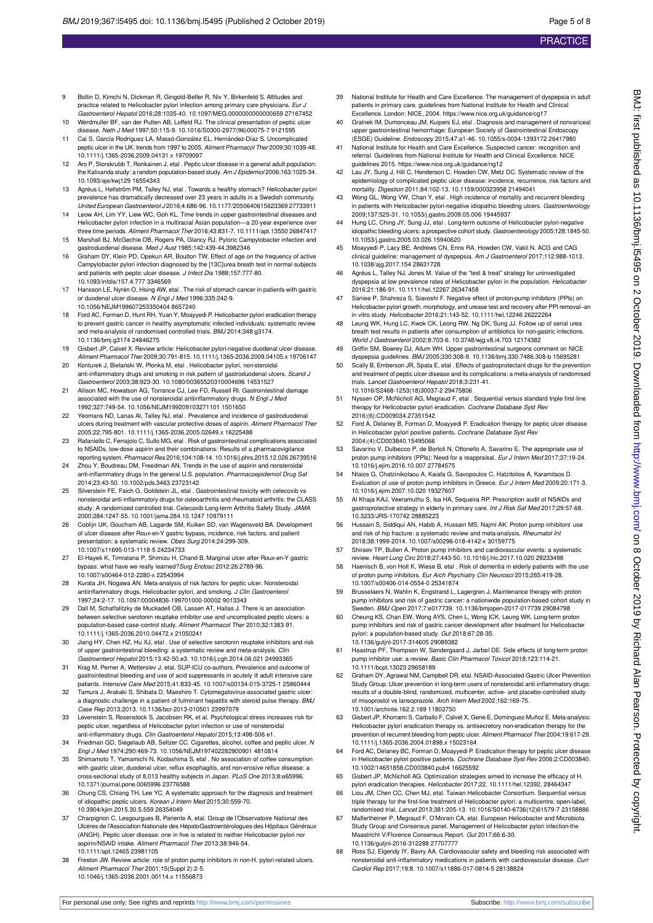- 9 Boltin D, Kimchi N, Dickman R, Gingold-Belfer R, Niv Y, Birkenfeld S. Attitudes and practice related to Helicobacter pylori infection among primary care physicians. Eur Gastroenterol Hepatol 2016;28:1035-40. 10.1097/MEG.0000000000000659 27167452
- 10 Werdmuller BF, van der Putten AB, Loffeld RJ. The clinical presentation of peptic ulcer disease. Neth J Med 1997;50:115-9. 10.1016/S0300-2977(96)00075-7 9121595
- 11 Cai S, García Rodríguez LA, Massó-González EL, Hernández-Díaz S. Uncomplicated peptic ulcer in the UK: trends from 1997 to 2005. Aliment Pharmacol Ther 2009;30:1039-48. 10.1111/j.1365-2036.2009.04131.x 19709097
- 12 Aro P, Storskrubb T, Ronkainen J, etal . Peptic ulcer disease in a general adult population: the Kalixanda study: a random population-based study. Am J Epidemiol 2006;163:1025-34. 10.1093/aje/kwj129 16554343
- 13 Agréus L, Hellström PM, Talley NJ, etal . Towards a healthy stomach? Helicobacter pylori prevalence has dramatically decreased over 23 years in adults in a Swedish community. United European Gastroenterol J 2016;4:686-96. 10.1177/2050640615623369 27733911
- 14 Leow AH, Lim YY, Liew WC, Goh KL. Time trends in upper gastrointestinal diseases and Helicobacter pylori infection in a multiracial Asian population—a 20-year experience over<br>three time periods. Al*iment Pharmacol Ther* 2016;43:831-7. 10.1111/apt.13550 26847417
- 15 Marshall BJ, McGechie DB, Rogers PA, Glancy RJ. Pyloric Campylobacter infection and gastroduodenal disease. Med J Aust 1985;142:439-44.3982346
- 16 Graham DY, Klein PD, Opekun AR, Boutton TW. Effect of age on the frequency of active Campylobacter pylori infection diagnosed by the [13C]urea breath test in normal subjects and patients with peptic ulcer disease. J Infect Dis 1988;157:777-80. 10.1093/infdis/157.4.777 3346569
- 17 Hansson LE, Nyrén O, Hsing AW, etal . The risk of stomach cancer in patients with gastric or duodenal ulcer disease. N Engl J Med 1996;335:242-9. 10.1056/NEJM199607253350404 8657240
- 18 Ford AC, Forman D, Hunt RH, Yuan Y, Moayyedi P. Helicobacter pylori eradication therapy to prevent gastric cancer in healthy asymptomatic infected individuals: systematic review and meta-analysis of randomised controlled trials. BMJ 2014;348:g3174. 10.1136/bmj.g3174 24846275
- 19 Gisbert JP, Calvet X. Review article: Helicobacter pylori-negative duodenal ulcer disease. Aliment Pharmacol Ther 2009;30:791-815. 10.1111/j.1365-2036.2009.04105.x 19706147
- 20 Konturek J, Bielański W, Płonka M, etal . Helicobacter pylori, non-steroidal anti-inflammatory drugs and smoking in risk pattern of gastroduodenal ulcers. Scand J Gastroenterol 2003;38:923-30. 10.1080/00365520310004696 14531527
- 21 Allison MC, Howatson AG, Torrance CJ, Lee FD, Russell RI. Gastrointestinal damage associated with the use of nonsteroidal antiinflammatory drugs. N Engl J Med 1992;327:749-54. 10.1056/NEJM199209103271101 1501650
- 22 Yeomans ND, Lanas AI, Talley NJ, etal . Prevalence and incidence of gastroduodenal ulcers during treatment with vascular protective doses of aspirin. Aliment Pharmacol Ther
- 2005;22:795-801. 10.1111/j.1365-2036.2005.02649.x 16225488 23 Rafaniello C, Ferrajolo C, Sullo MG, etal . Risk of gastrointestinal complications associated to NSAIDs, low-dose aspirin and their combinations: Results of a pharmacovigilance reporting system. Pharmacol Res 2016;104:108-14. 10.1016/j.phrs.2015.12.026 26739516
- 24 Zhou Y, Boudreau DM, Freedman AN. Trends in the use of aspirin and nonsteroidal anti-inflammatory drugs in the general U.S. population. Pharmacoepidemiol Drug Saf 2014;23:43-50. 10.1002/pds.3463 23723142
- 25 Silverstein FE, Faich G, Goldstein JL, etal . Gastrointestinal toxicity with celecoxib vs nonsteroidal anti-inflammatory drugs for osteoarthritis and rheumatoid arthritis: the CLASS study: A randomized controlled trial. Celecoxib Long-term Arthritis Safety Study. JAMA 2000;284:1247-55. 10.1001/jama.284.10.1247 10979111
- 26 Coblijn UK, Goucham AB, Lagarde SM, Kuiken SD, van Wagensveld BA. Development of ulcer disease after Roux-en-Y gastric bypass, incidence, risk factors, and patient presentation: a systematic review. Obes Surg 2014;24:299-309. 10.1007/s11695-013-1118-5 24234733
- 27 El-Hayek K, Timratana P, Shimizu H, Chand B. Marginal ulcer after Roux-en-Y gastric bypass: what have we really learned?Surg Endosc 2012;26:2789-96. 10.1007/s00464-012-2280-x 22543994
- 28 Kurata JH, Nogawa AN. Meta-analysis of risk factors for peptic ulcer. Nonsteroidal antiinflammatory drugs, Helicobacter pylori, and smoking. J Clin Gastroentero.<br>1997;24:2-17. 10.1097/00004836-199701000-00002 9013343
- 29 Dall M, Schaffalitzky de Muckadell OB, Lassen AT, Hallas J. There is an association between selective serotonin reuptake inhibitor use and uncomplicated peptic ulcers: a population-based case-control study. Aliment Pharmacol Ther 2010;32:1383-91. 10.1111/j.1365-2036.2010.04472.x 21050241
- 30 Jiang HY, Chen HZ, Hu XJ, etal . Use of selective serotonin reuptake inhibitors and risk of upper gastrointestinal bleeding: a systematic review and meta-analysis. Clin<br>Gastroenterol Hepatol 2015;13:42-50.e3. 10.1016/j.cgh.2014.06.021 24993365
- 31 Krag M, Perner A, Wetterslev J, etal. SUP-ICU co-authors. Prevalence and outcome of gastrointestinal bleeding and use of acid suppressants in acutely ill adult intensive care<br>patients. *Intensive Care Med* 2015;41:833-45. 10.1007/s00134-015-3725-1 25860444
- 32 Tamura J, Arakaki S, Shibata D, Maeshiro T. Cytomegalovirus-associated gastric ulcer: a diagnostic challenge in a patient of fulminant hepatitis with steroid pulse therapy. BMJ Case Rep 2013;2013. 10.1136/bcr-2013-010501 23997079
- 33 Levenstein S, Rosenstock S, Jacobsen RK, et al. Psychological stress increases risk for peptic ulcer, regardless of Helicobacter pylori infection or use of nonsteroidal
- anti-inflammatory drugs. Clin Gastroenterol Hepatol 2015;13:498-506 e1. 34 Friedman GD, Siegelaub AB, Seltzer CC. Cigarettes, alcohol, coffee and peptic ulcer. N Engl J Med 1974;290:469-73. 10.1056/NEJM197402282900901 4810814
- 35 Shimamoto T, Yamamichi N, Kodashima S, etal . No association of coffee consumption with gastric ulcer, duodenal ulcer, reflux esophagitis, and non-erosive reflux disease: a<br>cross-sectional study of 8,013 healthy subjects in Japan. *PLoS One* 2013;8:e65996. 10.1371/journal.pone.0065996 23776588
- Chung CS, Chiang TH, Lee YC. A systematic approach for the diagnosis and treatment of idiopathic peptic ulcers. *Korean J Intern Med* 2015;30:559-70.<br>10.3904/kjim.2015.30.5.559 26354049
- 37 Charpignon C, Lesgourgues B, Pariente A, etal. Group de l'Observatoire National des Ulcères de l'Association Nationale des HépatoGastroentérologues des Hôpitaux Généraux (ANGH). Peptic ulcer disease: one in five is related to neither Helicobacter pylori nor aspirin/NSAID intake. Aliment Pharmacol Ther 2013;38:946-54. 10.1111/apt.12465 23981105
- 38 Freston JW. Review article: role of proton pump inhibitors in non-H. pylori-related ulcers. Aliment Pharmacol Ther 2001;15(Suppl 2):2-5. 10.1046/j.1365-2036.2001.00114.x 11556873
- 39 National Institute for Health and Care Excellence. The management of dyspepsia in adult patients in primary care, guidelines from National Institute for Health and Clinical Excellence. London: NICE, 2004. https://www.nice.org.uk/guidance/cg17
- 40 Gralnek IM, Dumonceau JM, Kuipers EJ, etal . Diagnosis and management of nonvariceal upper gastrointestinal hemorrhage: European Society of Gastrointestinal Endoscopy (ESGE) Guideline. Endoscopy 2015;47:a1-46. 10.1055/s-0034-1393172 26417980
- National Institute for Health and Care Excellence. Suspected cancer: recognition and referral. Guidelines from National Institute for Health and Clinical Excellence. NICE guidelines 2015. https://www.nice.org.uk/guidance/ng12
- 42 Lau JY, Sung J, Hill C, Henderson C, Howden CW, Metz DC. Systematic review of the epidemiology of complicated peptic ulcer disease: incidence, recurrence, risk factors and mortality. Digestion 2011;84:102-13. 10.1159/000323958 21494041
- 43 Wong GL, Wong VW, Chan Y, etal . High incidence of mortality and recurrent bleeding in patients with Helicobacter pylori-negative idiopathic bleeding ulcers. Gastroenterology 2009;137:525-31. 10.1053/j.gastro.2009.05.006 19445937
- 44 Hung LC, Ching JY, Sung JJ, etal . Long-term outcome of Helicobacter pylori-negative idiopathic bleeding ulcers: a prospective cohort study. Gastroenterology 2005;128:1845-50. 10.1053/j.gastro.2005.03.026 15940620
- 45 Moayyedi P, Lacy BE, Andrews CN, Enns RA, Howden CW, Vakil N. ACG and CAG clinical guideline: management of dyspepsia. Am J Gastroenterol 2017;112:988-1013. 10.1038/ajg.2017.154 28631728
- 46 Agréus L, Talley NJ, Jones M. Value of the "test & treat" strategy for uninvestigated dyspepsia at low prevalence rates of Helicobacter pylori in the population. Helicobacter 2016;21:186-91. 10.1111/hel.12267 26347458
- 47 Saniee P, Shahreza S, Siavoshi F. Negative effect of proton-pump inhibitors (PPIs) on Helicobacter pylori growth, morphology, and urease test and recovery after PPI removal–an in vitro study. Helicobacter 2016;21:143-52. 10.1111/hel.12246 26222264
- 48 Leung WK, Hung LC, Kwok CK, Leong RW, Ng DK, Sung JJ. Follow up of serial urea breath test results in patients after consumption of antibiotics for non-gastric infections. World J Gastroenterol 2002;8:703-6. 10.3748/wjg.v8.i4.703 12174382
- 49 Griffin SM, Bowrey DJ, Allum WH. Upper gastrointestinal surgeons comment on NICE dyspepsia guidelines. BMJ 2005;330:308-9. 10.1136/bmj.330.7486.308-b 15695281
- 50 Scally B, Emberson JR, Spata E, etal . Effects of gastroprotectant drugs for the prevention and treatment of peptic ulcer disease and its complications: a meta-analysis of randomised trials. Lancet Gastroenterol Hepatol 2018;3:231-41. 10.1016/S2468-1253(18)30037-2 29475806
- 51 Nyssen OP, McNicholl AG, Megraud F, etal . Sequential versus standard triple first-line therapy for Helicobacter pylori eradication. Cochrane Database Syst Rev 2016;(6):CD009034.27351542
- Ford A, Delaney B, Forman D, Moayyedi P. Eradication therapy for peptic ulcer disease in Helicobacter pylori positive patients. Cochrane Database Syst Rev 2004;(4):CD003840.15495066
- Savarino V, Dulbecco P, de Bortoli N, Ottonello A, Savarino E. The appropriate use of proton pump inhibitors (PPIs): Need for a reappraisal. Eur J Intern Med 2017;37:19-24. 10.1016/j.ejim.2016.10.007 27784575
- 54 Ntaios G, Chatzinikolaou A, Kaiafa G, Savopoulos C, Hatzitolios A, Karamitsos D. Evaluation of use of proton pump inhibitors in Greece. Eur J Intern Med 2009;20:171-3. 10.1016/j.ejim.2007.10.020 19327607
- 55 Al Khaja KAJ, Veeramuthu S, Isa HA, Sequeira RP. Prescription audit of NSAIDs and gastroprotective strategy in elderly in primary care. Int J Risk Saf Med 2017;29:57-68. 10.3233/JRS-170742 28885223
- 56 Hussain S, Siddiqui AN, Habib A, Hussain MS, Najmi AK. Proton pump inhibitors' use and risk of hip fracture: a systematic review and meta-analysis. Rheumatol Int 2018;38:1999-2014. 10.1007/s00296-018-4142-x 30159775
- 57 Shiraev TP, Bullen A. Proton pump inhibitors and cardiovascular events: a systematic review. Heart Lung Circ 2018;27:443-50. 10.1016/j.hlc.2017.10.020 29233498
- 58 Haenisch B, von Holt K, Wiese B, etal . Risk of dementia in elderly patients with the use of proton pump inhibitors. Eur Arch Psychiatry Clin Neurosci 2015;265:419-28. 10.1007/s00406-014-0554-0 25341874
- 59 Brusselaers N, Wahlin K, Engstrand L, Lagergren J. Maintenance therapy with proton pump inhibitors and risk of gastric cancer: a nationwide population-based cohort study in .<br>Sweden. *BMJ Open* 2017;7:e017739. 10.1136/bmjopen-2017-017739 29084798
- 60 Cheung KS, Chan EW, Wong AYS, Chen L, Wong ICK, Leung WK. Long-term proton pump inhibitors and risk of gastric cancer development after treatment for Helicobacter pylori: a population-based study. Gut 2018;67:28-35. 10.1136/gutjnl-2017-314605 29089382
- 61 Haastrup PF, Thompson W, Søndergaard J, Jarbøl DE. Side effects of long-term proton pump inhibitor use: a review. Basic Clin Pharmacol Toxicol 2018;123:114-21. 10.1111/bcpt.13023 29658189
- 62 Graham DY, Agrawal NM, Campbell DR, etal. NSAID-Associated Gastric Ulcer Prevention Study Group. Ulcer prevention in long-term users of nonsteroidal anti-inflammatory drugs: results of a double-blind, randomized, multicenter, active- and placebo-controlled study of misoprostol vs lansoprazole. Arch Intern Med 2002;162:169-75. 10.1001/archinte.162.2.169 11802750
- 63 Gisbert JP, Khorrami S, Carballo F, Calvet X, Gene E, Dominguez-Muñoz E. Meta-analysis: Helicobacter pylori eradication therapy vs. antisecretory non-eradication therapy for the prevention of recurrent bleeding from peptic ulcer. Aliment Pharmacol Ther 2004;19:617-29.<br>10.1111/j.1365-2036.2004.01898.x 15023164
- 64 Ford AC, Delaney BC, Forman D, Moayyedi P. Eradication therapy for peptic ulcer disease in Helicobacter pylori positive patients. Cochrane Database Syst Rev 2006;2:CD003840. 10.1002/14651858.CD003840.pub4 16625592
- 65 Gisbert JP, McNicholl AG. Optimization strategies aimed to increase the efficacy of H. pylori eradication therapies. Helicobacter 2017;22. 10.1111/hel.12392. 28464347
- 66 Liou JM, Chen CC, Chen MJ, etal. Taiwan Helicobacter Consortium. Sequential versus triple therapy for the first-line treatment of Helicobacter pylori: a multicentre, open-label,<br>randomised trial. Lancet 2013;381:205-13. 10.1016/S0140-6736(12)61579-7 23158886
- Malfertheiner P, Megraud F, O'Morain CA, etal. European Helicobacter and Microbiota Study Group and Consensus panel. Management of Helicobacter pylori infection-the Maastricht V/Florence Consensus Report. Gut 2017;66:6-30. 10.1136/gutjnl-2016-312288 27707777
- Ross SJ, Elgendy IY, Bavry AA. Cardiovascular safety and bleeding risk associated with nonsteroidal anti-inflammatory medications in patients with cardiovascular disease. Curr Cardiol Rep 2017;19:8. 10.1007/s11886-017-0814-5 28138824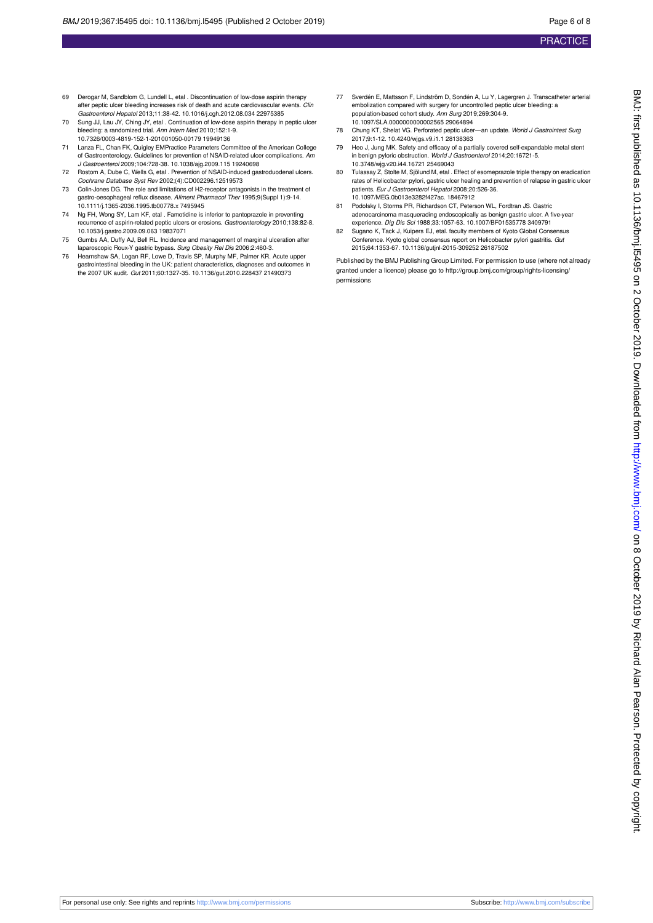- 69 Derogar M, Sandblom G, Lundell L, etal . Discontinuation of low-dose aspirin therapy after peptic ulcer bleeding increases risk of death and acute cardiovascular events. Clin Gastroenterol Hepatol 2013;11:38-42. 10.1016/j.cgh.2012.08.034 22975385
- 70 Sung JJ, Lau JY, Ching JY, etal . Continuation of low-dose aspirin therapy in peptic ulcer bleeding: a randomized trial. Ann Intern Med 2010;152:1-9.
- 10.7326/0003-4819-152-1-201001050-00179 19949136 71 Lanza FL, Chan FK, Quigley EMPractice Parameters Committee of the American College of Gastroenterology. Guidelines for prevention of NSAID-related ulcer complications. *Am*<br>J G*astroenterol* 2009;104:728-38. 10.1038/ajg.2009.115 19240698
- 72 Rostom A, Dube C, Wells G, etal . Prevention of NSAID-induced gastroduodenal ulcers. Cochrane Database Syst Rev 2002;(4):CD002296.12519573
- 73 Colin-Jones DG. The role and limitations of H2-receptor antagonists in the treatment of gastro-oesophageal reflux disease. Aliment Pharmacol Ther 1995;9(Suppl 1):9-14. 10.1111/j.1365-2036.1995.tb00778.x 7495945
- 74 Ng FH, Wong SY, Lam KF, etal . Famotidine is inferior to pantoprazole in preventing recurrence of aspirin-related peptic ulcers or erosions. Gastroenterology 2010;138:82-8. 10.1053/j.gastro.2009.09.063 19837071
- 75 Gumbs AA, Duffy AJ, Bell RL. Incidence and management of marginal ulceration after laparoscopic Roux-Y gastric bypass. Surg Obesity Rel Dis 2006;2:460-3.
- 76 Hearnshaw SA, Logan RF, Lowe D, Travis SP, Murphy MF, Palmer KR. Acute upper gastrointestinal bleeding in the UK: patient characteristics, diagnoses and outcomes in the 2007 UK audit. Gut 2011;60:1327-35. 10.1136/gut.2010.228437 21490373
- 77 Sverdén E, Mattsson F, Lindström D, Sondén A, Lu Y, Lagergren J. Transcatheter arterial embolization compared with surgery for uncontrolled peptic ulcer bleeding: a population-based cohort study. Ann Surg 2019;269:304-9. 10.1097/SLA.0000000000002565 29064894
- 78 Chung KT, Shelat VG. Perforated peptic ulcer—an update. World J Gastrointest Surg 2017;9:1-12. 10.4240/wjgs.v9.i1.1 28138363
- 79 Heo J, Jung MK. Safety and efficacy of a partially covered self-expandable metal stent in benign pyloric obstruction. World J Gastroenterol 2014;20:16721-5. 10.3748/wjg.v20.i44.16721 25469043
- 80 Tulassay Z, Stolte M, Sjölund M, etal . Effect of esomeprazole triple therapy on eradication rates of Helicobacter pylori, gastric ulcer healing and prevention of relapse in gastric ulcer patients. Eur J Gastroenterol Hepatol 2008;20:526-36. 10.1097/MEG.0b013e3282f427ac. 18467912
- Podolsky I, Storms PR, Richardson CT, Peterson WL, Fordtran JS. Gastric adenocarcinoma masquerading endoscopically as benign gastric ulcer. A five-year experience. Dig Dis Sci 1988;33:1057-63. 10.1007/BF01535778 3409791
- 82 Sugano K, Tack J, Kuipers EJ, etal. faculty members of Kyoto Global Consensus Conference. Kyoto global consensus report on Helicobacter pylori gastritis. Gut 2015;64:1353-67. 10.1136/gutjnl-2015-309252 26187502

Published by the BMJ Publishing Group Limited. For permission to use (where not already granted under a licence) please go to [http://group.bmj.com/group/rights-licensing/](http://group.bmj.com/group/rights-licensing/permissions) [permissions](http://group.bmj.com/group/rights-licensing/permissions)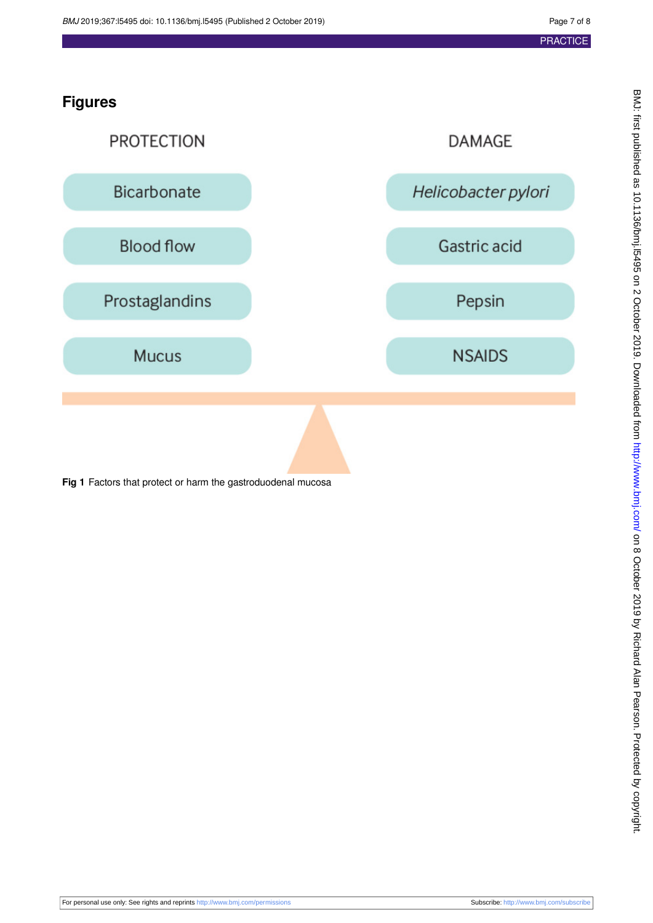## **Figures**

<span id="page-6-0"></span>

**Fig 1** Factors that protect or harm the gastroduodenal mucosa